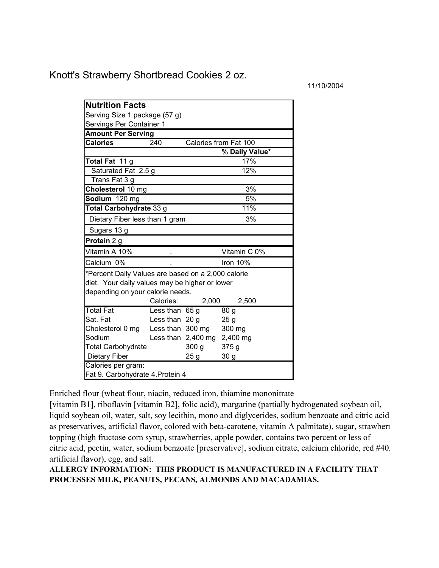Knott's Strawberry Shortbread Cookies 2 oz.

11/10/2004

| <b>Nutrition Facts</b>                                                                                                                                                  |                  |                             |                       |
|-------------------------------------------------------------------------------------------------------------------------------------------------------------------------|------------------|-----------------------------|-----------------------|
| Serving Size 1 package (57 g)                                                                                                                                           |                  |                             |                       |
| Servings Per Container 1                                                                                                                                                |                  |                             |                       |
| <b>Amount Per Serving</b>                                                                                                                                               |                  |                             |                       |
| <b>Calories</b>                                                                                                                                                         | 240              |                             | Calories from Fat 100 |
|                                                                                                                                                                         |                  |                             | % Daily Value*        |
| Total Fat 11 g                                                                                                                                                          |                  |                             | 17%                   |
| Saturated Fat 2.5 g                                                                                                                                                     |                  |                             | 12%                   |
| Trans Fat 3 g                                                                                                                                                           |                  |                             |                       |
| Cholesterol 10 mg                                                                                                                                                       |                  |                             | 3%                    |
| Sodium 120 mg                                                                                                                                                           |                  | 5%                          |                       |
| Total Carbohydrate 33 g                                                                                                                                                 |                  | 11%                         |                       |
| Dietary Fiber less than 1 gram                                                                                                                                          |                  |                             | 3%                    |
| Sugars 13 g                                                                                                                                                             |                  |                             |                       |
| Protein 2 g                                                                                                                                                             |                  |                             |                       |
| Vitamin A 10%                                                                                                                                                           |                  |                             | Vitamin C 0%          |
| Calcium 0%                                                                                                                                                              |                  |                             | Iron 10%              |
| *Percent Daily Values are based on a 2,000 calorie<br>diet. Your daily values may be higher or lower<br>depending on your calorie needs.<br>Calories:<br>2,000<br>2,500 |                  |                             |                       |
| <b>Total Fat</b>                                                                                                                                                        | Less than $65 g$ |                             | 80 <sub>g</sub>       |
| Sat. Fat                                                                                                                                                                | Less than 20 g   |                             | 25 <sub>g</sub>       |
| Cholesterol 0 mg                                                                                                                                                        |                  | Less than 300 mg            | 300 mg                |
| Sodium                                                                                                                                                                  |                  | Less than 2,400 mg 2,400 mg |                       |
| <b>Total Carbohydrate</b>                                                                                                                                               |                  | 300 <sub>g</sub>            | 375g                  |
| <b>Dietary Fiber</b>                                                                                                                                                    |                  | 25 g                        | 30 <sub>g</sub>       |
| Calories per gram:                                                                                                                                                      |                  |                             |                       |
| Fat 9. Carbohydrate 4. Protein 4                                                                                                                                        |                  |                             |                       |

Enriched flour (wheat flour, niacin, reduced iron, thiamine mononitrate

topping (high fructose corn syrup, strawberries, apple powder, contains two percent or less of artificial flavor), egg, and salt. [vitamin B1], riboflavin [vitamin B2], folic acid), margarine (partially hydrogenated soybean oil, liquid soybean oil, water, salt, soy lecithin, mono and diglycerides, sodium benzoate and citric acid as preservatives, artificial flavor, colored with beta-carotene, vitamin A palmitate), sugar, strawberry citric acid, pectin, water, sodium benzoate [preservative], sodium citrate, calcium chloride, red #40,

**ALLERGY INFORMATION: THIS PRODUCT IS MANUFACTURED IN A FACILITY THAT PROCESSES MILK, PEANUTS, PECANS, ALMONDS AND MACADAMIAS.**